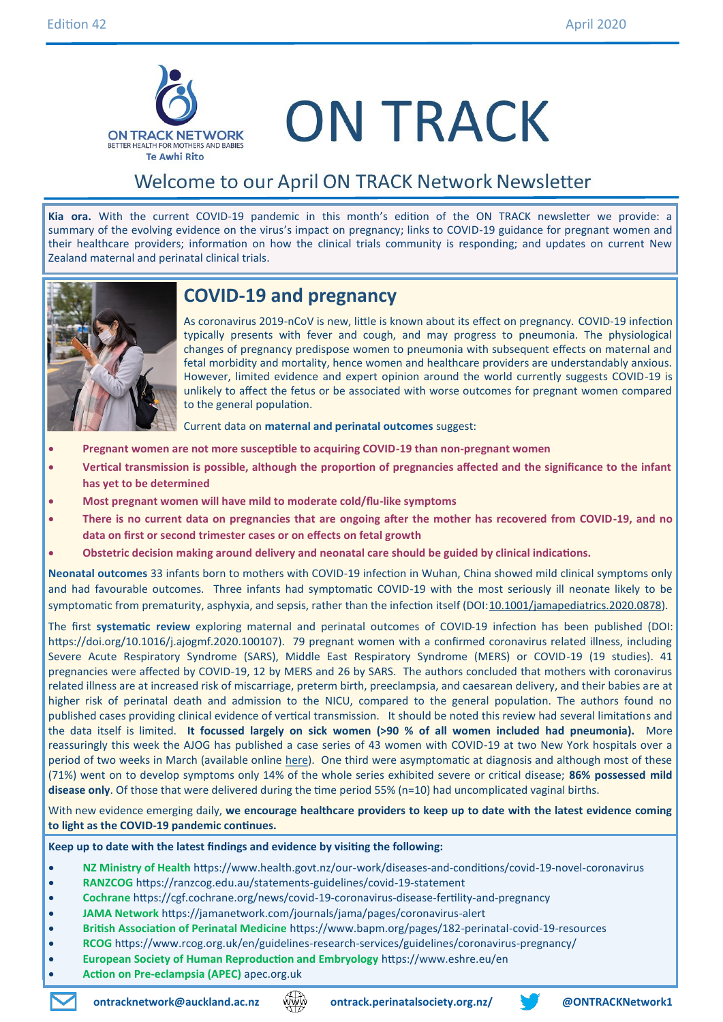

# **ON TRACK**

### Welcome to our April ON TRACK Network Newsletter

**Kia ora.** With the current COVID-19 pandemic in this month's edition of the ON TRACK newsletter we provide: a summary of the evolving evidence on the virus's impact on pregnancy; links to COVID-19 guidance for pregnant women and their healthcare providers; information on how the clinical trials community is responding; and updates on current New Zealand maternal and perinatal clinical trials.



### **COVID-19 and pregnancy**

As coronavirus 2019-nCoV is new, little is known about its effect on pregnancy. COVID-19 infection typically presents with fever and cough, and may progress to pneumonia. The physiological changes of pregnancy predispose women to pneumonia with subsequent effects on maternal and fetal morbidity and mortality, hence women and healthcare providers are understandably anxious. However, limited evidence and expert opinion around the world currently suggests COVID-19 is unlikely to affect the fetus or be associated with worse outcomes for pregnant women compared to the general population.

Current data on **maternal and perinatal outcomes** suggest:

- **Pregnant women are not more susceptible to acquiring COVID-19 than non-pregnant women**
- **Vertical transmission is possible, although the proportion of pregnancies affected and the significance to the infant has yet to be determined**
- **Most pregnant women will have mild to moderate cold/flu-like symptoms**
- **There is no current data on pregnancies that are ongoing after the mother has recovered from COVID-19, and no data on first or second trimester cases or on effects on fetal growth**
- **Obstetric decision making around delivery and neonatal care should be guided by clinical indications.**

**Neonatal outcomes** 33 infants born to mothers with COVID-19 infection in Wuhan, China showed mild clinical symptoms only and had favourable outcomes. Three infants had symptomatic COVID-19 with the most seriously ill neonate likely to be symptomatic from prematurity, asphyxia, and sepsis, rather than the infection itself (DOI:[10.1001/jamapediatrics.2020.0878\).](http://jamanetwork.com/article.aspx?doi=10.1001/jamapediatrics.2020.0878)

The first **systematic review** exploring maternal and perinatal outcomes of COVID-19 infection has been published (DOI: https://doi.org/10.1016/j.ajogmf.2020.100107). 79 pregnant women with a confirmed coronavirus related illness, including Severe Acute Respiratory Syndrome (SARS), Middle East Respiratory Syndrome (MERS) or COVID-19 (19 studies). 41 pregnancies were affected by COVID-19, 12 by MERS and 26 by SARS. The authors concluded that mothers with coronavirus related illness are at increased risk of miscarriage, preterm birth, preeclampsia, and caesarean delivery, and their babies are at higher risk of perinatal death and admission to the NICU, compared to the general population. The authors found no published cases providing clinical evidence of vertical transmission. It should be noted this review had several limitations and the data itself is limited. **It focussed largely on sick women (>90 % of all women included had pneumonia).** More reassuringly this week the AJOG has published a case series of 43 women with COVID-19 at two New York hospitals over a period of two weeks in March (available online [here\).](https://els-jbs-prod-cdn.jbs.elsevierhealth.com/pb/assets/raw/Health%20Advance/journals/ymob/43_COVID_040320-1586192348270.pdf) One third were asymptomatic at diagnosis and although most of these (71%) went on to develop symptoms only 14% of the whole series exhibited severe or critical disease; **86% possessed mild disease only**. Of those that were delivered during the time period 55% (n=10) had uncomplicated vaginal births.

With new evidence emerging daily, **we encourage healthcare providers to keep up to date with the latest evidence coming to light as the COVID-19 pandemic continues.**

**Keep up to date with the latest findings and evidence by visiting the following:**

- **NZ Ministry of Health** [https://www.health.govt.nz/our](https://www.health.govt.nz/our-work/diseases-and-conditions/covid-19-novel-coronavirus)-work/diseases-and-conditions/covid-19-novel-coronavirus
- **RANZCOG** [https://ranzcog.edu.au/statements](https://ranzcog.edu.au/statements-guidelines/covid-19-statement)-guidelines/covid-19-statement
- **Cochrane** [https://cgf.cochrane.org/news/covid](https://cgf.cochrane.org/news/covid-19-coronavirus-disease-fertility-and-pregnancy)-19-coronavirus-disease-fertility-and-pregnancy
- **JAMA Network** [https://jamanetwork.com/journals/jama/pages/coronavirus](https://jamanetwork.com/journals/jama/pages/coronavirus-alert)-alert
- **British Association of Perinatal Medicine** https://www.bapm.org/pages/182-perinatal-covid-19-resources
- **RCOG** [https://www.rcog.org.uk/en/guidelines](https://www.rcog.org.uk/en/guidelines-research-services/guidelines/coronavirus-pregnancy/)-research-services/guidelines/coronavirus-pregnancy/
- **European Society of Human Reproduction and Embryology** <https://www.eshre.eu/en>
- **Action on Pre-eclampsia (APEC)** apec.org.uk



**ontracknetwork@auckland.ac.nz ontrack.perinatalsociety.org.nz/ @ONTRACKNetwork1**

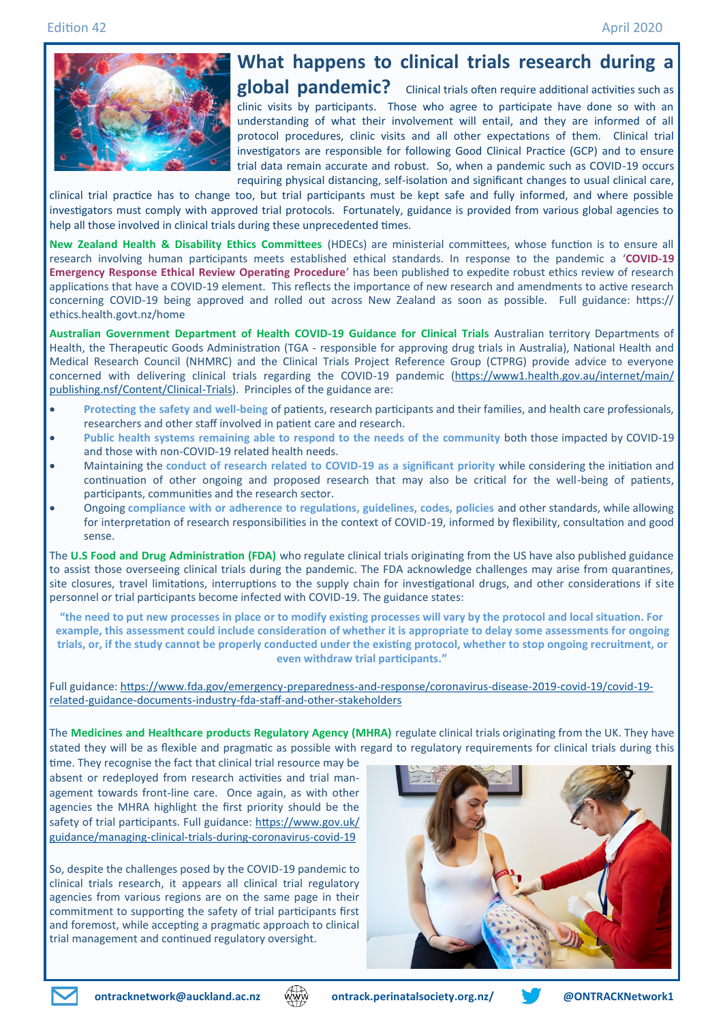

## **What happens to clinical trials research during a**

**global pandemic?** Clinical trials often require additional activities such as clinic visits by participants. Those who agree to participate have done so with an understanding of what their involvement will entail, and they are informed of all protocol procedures, clinic visits and all other expectations of them. Clinical trial investigators are responsible for following Good Clinical Practice (GCP) and to ensure trial data remain accurate and robust. So, when a pandemic such as COVID-19 occurs requiring physical distancing, self-isolation and significant changes to usual clinical care,

clinical trial practice has to change too, but trial participants must be kept safe and fully informed, and where possible investigators must comply with approved trial protocols. Fortunately, guidance is provided from various global agencies to help all those involved in clinical trials during these unprecedented times.

**New Zealand Health & Disability Ethics Committees** (HDECs) are ministerial committees, whose function is to ensure all research involving human participants meets established ethical standards. In response to the pandemic a '**COVID-19 Emergency Response Ethical Review Operating Procedure**' has been published to expedite robust ethics review of research applications that have a COVID-19 element. This reflects the importance of new research and amendments to active research concerning COVID-19 being approved and rolled out across New Zealand as soon as possible. Full guidance: https:// [ethics.health.govt.nz/home](https://ethics.health.govt.nz/home)

**Australian Government Department of Health COVID-19 Guidance for Clinical Trials** Australian territory Departments of Health, the Therapeutic Goods Administration (TGA - responsible for approving drug trials in Australia), National Health and Medical Research Council (NHMRC) and the Clinical Trials Project Reference Group (CTPRG) provide advice to everyone concerned with delivering clinical trials regarding the COVID-19 pandemic ([https://www1.health.gov.au/internet/main/](https://www1.health.gov.au/internet/main/publishing.nsf/Content/Clinical-Trials) [publishing.nsf/Content/Clinical](https://www1.health.gov.au/internet/main/publishing.nsf/Content/Clinical-Trials)-Trials). Principles of the guidance are:

- **Protecting the safety and well-being** of patients, research participants and their families, and health care professionals, researchers and other staff involved in patient care and research.
- **Public health systems remaining able to respond to the needs of the community** both those impacted by COVID-19 and those with non-COVID-19 related health needs.
- Maintaining the **conduct of research related to COVID-19 as a significant priority** while considering the initiation and continuation of other ongoing and proposed research that may also be critical for the well-being of patients, participants, communities and the research sector.
- Ongoing **compliance with or adherence to regulations, guidelines, codes, policies** and other standards, while allowing for interpretation of research responsibilities in the context of COVID-19, informed by flexibility, consultation and good sense.

The **U.S Food and Drug Administration (FDA)** who regulate clinical trials originating from the US have also published guidance to assist those overseeing clinical trials during the pandemic. The FDA acknowledge challenges may arise from quarantines, site closures, travel limitations, interruptions to the supply chain for investigational drugs, and other considerations if site personnel or trial participants become infected with COVID-19. The guidance states:

**"the need to put new processes in place or to modify existing processes will vary by the protocol and local situation. For example, this assessment could include consideration of whether it is appropriate to delay some assessments for ongoing trials, or, if the study cannot be properly conducted under the existing protocol, whether to stop ongoing recruitment, or even withdraw trial participants."**

Full guidance: [https://www.fda.gov/emergency](https://www.fda.gov/emergency-preparedness-and-response/coronavirus-disease-2019-covid-19/covid-19-related-guidance-documents-industry-fda-staff-and-other-stakeholders)-preparedness-and-response/coronavirus-disease-2019-covid-19/covid-19related-guidance-documents-industry-fda-staff-and-other-[stakeholders](https://www.fda.gov/emergency-preparedness-and-response/coronavirus-disease-2019-covid-19/covid-19-related-guidance-documents-industry-fda-staff-and-other-stakeholders)

The **Medicines and Healthcare products Regulatory Agency (MHRA)** regulate clinical trials originating from the UK. They have stated they will be as flexible and pragmatic as possible with regard to regulatory requirements for clinical trials during this

time. They recognise the fact that clinical trial resource may be absent or redeployed from research activities and trial management towards front-line care. Once again, as with other agencies the MHRA highlight the first priority should be the safety of trial participants. Full guidance: [https://www.gov.uk/](https://www.gov.uk/guidance/managing-clinical-trials-during-coronavirus-covid-19) [guidance/managing](https://www.gov.uk/guidance/managing-clinical-trials-during-coronavirus-covid-19)-clinical-trials-during-coronavirus-covid-19

So, despite the challenges posed by the COVID-19 pandemic to clinical trials research, it appears all clinical trial regulatory agencies from various regions are on the same page in their commitment to supporting the safety of trial participants first and foremost, while accepting a pragmatic approach to clinical trial management and continued regulatory oversight.





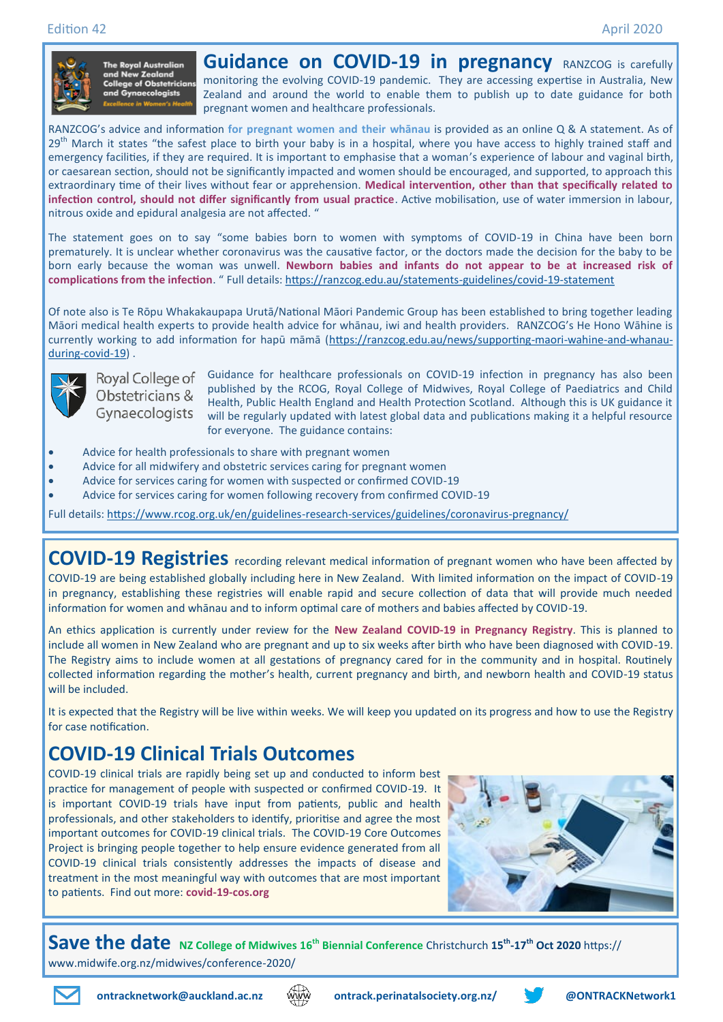

The Royal Australian<br>and New Zealand e of Obstetricians

**Guidance on COVID-19 in pregnancy** RANZCOG is carefully monitoring the evolving COVID-19 pandemic. They are accessing expertise in Australia, New Zealand and around the world to enable them to publish up to date guidance for both pregnant women and healthcare professionals.

RANZCOG's advice and information **for pregnant women and their whānau** is provided as an online Q & A statement. As of  $29<sup>th</sup>$  March it states "the safest place to birth your baby is in a hospital, where you have access to highly trained staff and emergency facilities, if they are required. It is important to emphasise that a woman's experience of labour and vaginal birth, or caesarean section, should not be significantly impacted and women should be encouraged, and supported, to approach this extraordinary time of their lives without fear or apprehension. **Medical intervention, other than that specifically related to infection control, should not differ significantly from usual practice**. Active mobilisation, use of water immersion in labour, nitrous oxide and epidural analgesia are not affected. "

The statement goes on to say "some babies born to women with symptoms of COVID-19 in China have been born prematurely. It is unclear whether coronavirus was the causative factor, or the doctors made the decision for the baby to be born early because the woman was unwell. **Newborn babies and infants do not appear to be at increased risk of complications from the infection**. " Full details: [https://ranzcog.edu.au/statements](https://ranzcog.edu.au/statements-guidelines/covid-19-statement)-guidelines/covid-19-statement

Of note also is Te Rōpu Whakakaupapa Urutā/National Māori Pandemic Group has been established to bring together leading Māori medical health experts to provide health advice for whānau, iwi and health providers. RANZCOG's He Hono Wāhine is currently working to add information for hapū māmā ([https://ranzcog.edu.au/news/supporting](https://ranzcog.edu.au/news/supporting-maori-wahine-and-whanau-during-covid-19)-maori-wahine-and-whanau[during](https://ranzcog.edu.au/news/supporting-maori-wahine-and-whanau-during-covid-19)-covid-19) .



Obstetricians &

Royal College of Guidance for healthcare professionals on COVID-19 infection in pregnancy has also been published by the RCOG, Royal College of Midwives, Royal College of Paediatrics and Child Health, Public Health England and Health Protection Scotland. Although this is UK guidance it Gynaecologists will be regularly updated with latest global data and publications making it a helpful resource for everyone. The guidance contains:

- Advice for health professionals to share with pregnant women
- Advice for all midwifery and obstetric services caring for pregnant women
- Advice for services caring for women with suspected or confirmed COVID-19
- Advice for services caring for women following recovery from confirmed COVID-19

Full details: [https://www.rcog.org.uk/en/guidelines](https://www.rcog.org.uk/en/guidelines-research-services/guidelines/coronavirus-pregnancy/)-research-services/guidelines/coronavirus-pregnancy/

**COVID-19 Registries** recording relevant medical information of pregnant women who have been affected by COVID-19 are being established globally including here in New Zealand. With limited information on the impact of COVID-19 in pregnancy, establishing these registries will enable rapid and secure collection of data that will provide much needed information for women and whānau and to inform optimal care of mothers and babies affected by COVID-19.

An ethics application is currently under review for the **New Zealand COVID-19 in Pregnancy Registry**. This is planned to include all women in New Zealand who are pregnant and up to six weeks after birth who have been diagnosed with COVID-19. The Registry aims to include women at all gestations of pregnancy cared for in the community and in hospital. Routinely collected information regarding the mother's health, current pregnancy and birth, and newborn health and COVID-19 status will be included.

It is expected that the Registry will be live within weeks. We will keep you updated on its progress and how to use the Registry for case notification.

## **COVID-19 Clinical Trials Outcomes**

COVID-19 clinical trials are rapidly being set up and conducted to inform best practice for management of people with suspected or confirmed COVID-19. It is important COVID-19 trials have input from patients, public and health professionals, and other stakeholders to identify, prioritise and agree the most important outcomes for COVID-19 clinical trials. The COVID-19 Core Outcomes Project is bringing people together to help ensure evidence generated from all COVID-19 clinical trials consistently addresses the impacts of disease and treatment in the most meaningful way with outcomes that are most important to patients. Find out more: **covid-19-cos.org** 



**Save the date NZ College of Midwives 16th Biennial Conference** Christchurch **<sup>15</sup>th -17th Oct 2020** https:// www.midwife.org.nz/midwives/conference-2020/